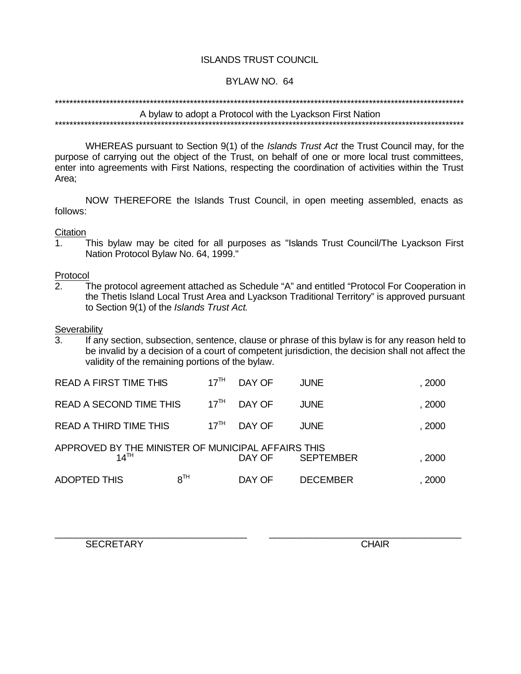# **ISLANDS TRUST COUNCIL**

#### BYLAW NO. 64

# A bylaw to adopt a Protocol with the Lyackson First Nation

WHEREAS pursuant to Section 9(1) of the Islands Trust Act the Trust Council may, for the purpose of carrying out the object of the Trust, on behalf of one or more local trust committees, enter into agreements with First Nations, respecting the coordination of activities within the Trust Area;

NOW THEREFORE the Islands Trust Council, in open meeting assembled, enacts as follows:

#### Citation

This bylaw may be cited for all purposes as "Islands Trust Council/The Lyackson First  $1<sub>1</sub>$ Nation Protocol Bylaw No. 64, 1999."

#### Protocol

The protocol agreement attached as Schedule "A" and entitled "Protocol For Cooperation in  $2.$ the Thetis Island Local Trust Area and Lyackson Traditional Territory" is approved pursuant to Section 9(1) of the Islands Trust Act.

#### Severability

If any section, subsection, sentence, clause or phrase of this bylaw is for any reason held to  $\mathcal{R}$ be invalid by a decision of a court of competent jurisdiction, the decision shall not affect the validity of the remaining portions of the bylaw.

| READ A FIRST TIME THIS                                                 | 17 <sup>TH</sup> | DAY OF | <b>JUNE</b>      | , 2000 |
|------------------------------------------------------------------------|------------------|--------|------------------|--------|
| READ A SECOND TIME THIS                                                | $17^{\text{TH}}$ | DAY OF | <b>JUNE</b>      | , 2000 |
| <b>READ A THIRD TIME THIS</b>                                          | $17^{\text{TH}}$ | DAY OF | <b>JUNE</b>      | , 2000 |
| APPROVED BY THE MINISTER OF MUNICIPAL AFFAIRS THIS<br>$14^{\text{TH}}$ |                  | DAY OF | <b>SEPTEMBER</b> | , 2000 |
| <b>ADOPTED THIS</b>                                                    | $8^{TH}$         | DAY OF | <b>DECEMBER</b>  | , 2000 |

**SECRETARY** 

**CHAIR**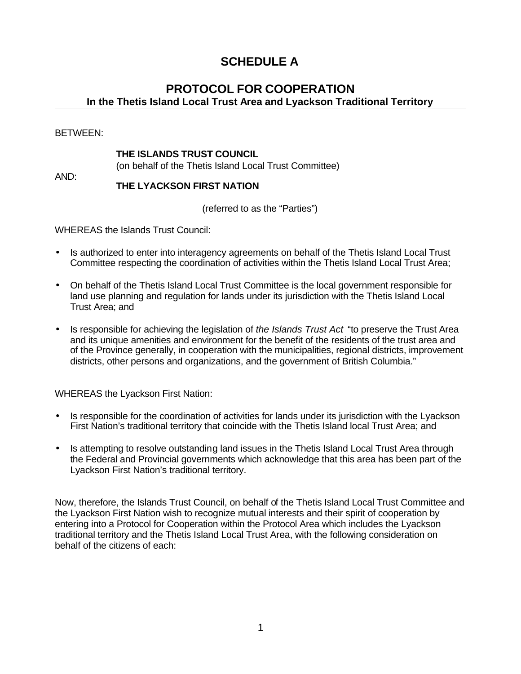# **SCHEDULE A**

# **PROTOCOL FOR COOPERATION In the Thetis Island Local Trust Area and Lyackson Traditional Territory**

BETWEEN:

#### **THE ISLANDS TRUST COUNCIL**

(on behalf of the Thetis Island Local Trust Committee)

AND:

#### **THE LYACKSON FIRST NATION**

(referred to as the "Parties")

WHEREAS the Islands Trust Council:

- Is authorized to enter into interagency agreements on behalf of the Thetis Island Local Trust Committee respecting the coordination of activities within the Thetis Island Local Trust Area;
- On behalf of the Thetis Island Local Trust Committee is the local government responsible for land use planning and regulation for lands under its jurisdiction with the Thetis Island Local Trust Area; and
- Is responsible for achieving the legislation of *the Islands Trust Act* "to preserve the Trust Area and its unique amenities and environment for the benefit of the residents of the trust area and of the Province generally, in cooperation with the municipalities, regional districts, improvement districts, other persons and organizations, and the government of British Columbia."

WHEREAS the Lyackson First Nation:

- Is responsible for the coordination of activities for lands under its jurisdiction with the Lyackson First Nation's traditional territory that coincide with the Thetis Island local Trust Area; and
- Is attempting to resolve outstanding land issues in the Thetis Island Local Trust Area through the Federal and Provincial governments which acknowledge that this area has been part of the Lyackson First Nation's traditional territory.

Now, therefore, the Islands Trust Council, on behalf of the Thetis Island Local Trust Committee and the Lyackson First Nation wish to recognize mutual interests and their spirit of cooperation by entering into a Protocol for Cooperation within the Protocol Area which includes the Lyackson traditional territory and the Thetis Island Local Trust Area, with the following consideration on behalf of the citizens of each: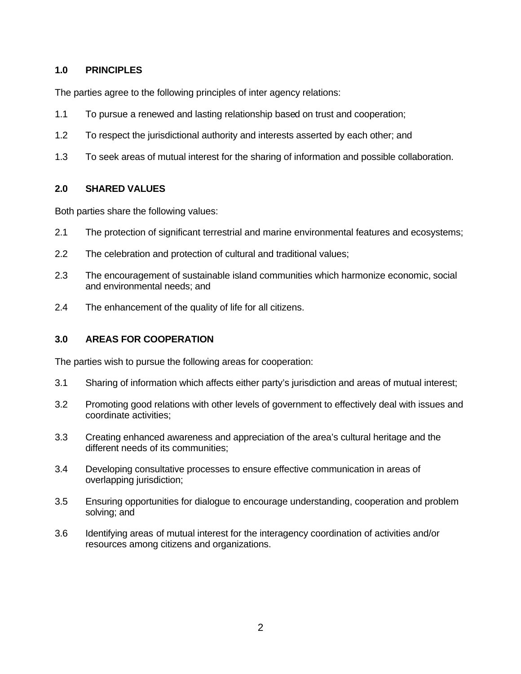# **1.0 PRINCIPLES**

The parties agree to the following principles of inter agency relations:

- 1.1 To pursue a renewed and lasting relationship based on trust and cooperation;
- 1.2 To respect the jurisdictional authority and interests asserted by each other; and
- 1.3 To seek areas of mutual interest for the sharing of information and possible collaboration.

# **2.0 SHARED VALUES**

Both parties share the following values:

- 2.1 The protection of significant terrestrial and marine environmental features and ecosystems;
- 2.2 The celebration and protection of cultural and traditional values;
- 2.3 The encouragement of sustainable island communities which harmonize economic, social and environmental needs; and
- 2.4 The enhancement of the quality of life for all citizens.

# **3.0 AREAS FOR COOPERATION**

The parties wish to pursue the following areas for cooperation:

- 3.1 Sharing of information which affects either party's jurisdiction and areas of mutual interest;
- 3.2 Promoting good relations with other levels of government to effectively deal with issues and coordinate activities;
- 3.3 Creating enhanced awareness and appreciation of the area's cultural heritage and the different needs of its communities;
- 3.4 Developing consultative processes to ensure effective communication in areas of overlapping jurisdiction;
- 3.5 Ensuring opportunities for dialogue to encourage understanding, cooperation and problem solving; and
- 3.6 Identifying areas of mutual interest for the interagency coordination of activities and/or resources among citizens and organizations.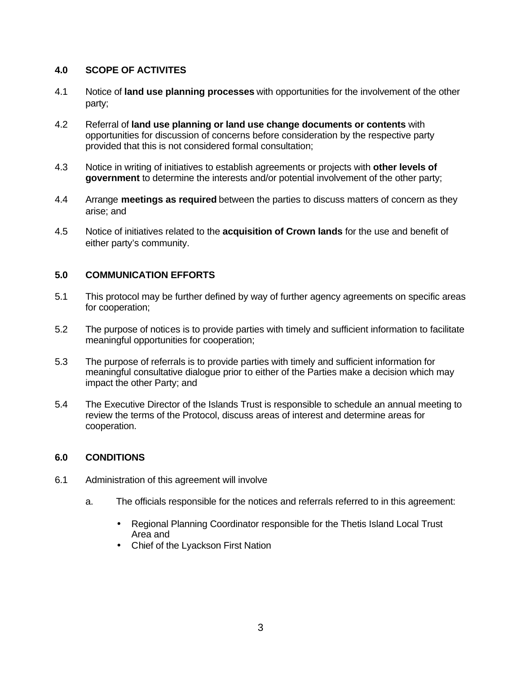# **4.0 SCOPE OF ACTIVITES**

- 4.1 Notice of **land use planning processes** with opportunities for the involvement of the other party;
- 4.2 Referral of **land use planning or land use change documents or contents** with opportunities for discussion of concerns before consideration by the respective party provided that this is not considered formal consultation;
- 4.3 Notice in writing of initiatives to establish agreements or projects with **other levels of government** to determine the interests and/or potential involvement of the other party;
- 4.4 Arrange **meetings as required** between the parties to discuss matters of concern as they arise; and
- 4.5 Notice of initiatives related to the **acquisition of Crown lands** for the use and benefit of either party's community.

# **5.0 COMMUNICATION EFFORTS**

- 5.1 This protocol may be further defined by way of further agency agreements on specific areas for cooperation;
- 5.2 The purpose of notices is to provide parties with timely and sufficient information to facilitate meaningful opportunities for cooperation;
- 5.3 The purpose of referrals is to provide parties with timely and sufficient information for meaningful consultative dialogue prior to either of the Parties make a decision which may impact the other Party; and
- 5.4 The Executive Director of the Islands Trust is responsible to schedule an annual meeting to review the terms of the Protocol, discuss areas of interest and determine areas for cooperation.

#### **6.0 CONDITIONS**

- 6.1 Administration of this agreement will involve
	- a. The officials responsible for the notices and referrals referred to in this agreement:
		- Regional Planning Coordinator responsible for the Thetis Island Local Trust Area and
		- Chief of the Lyackson First Nation